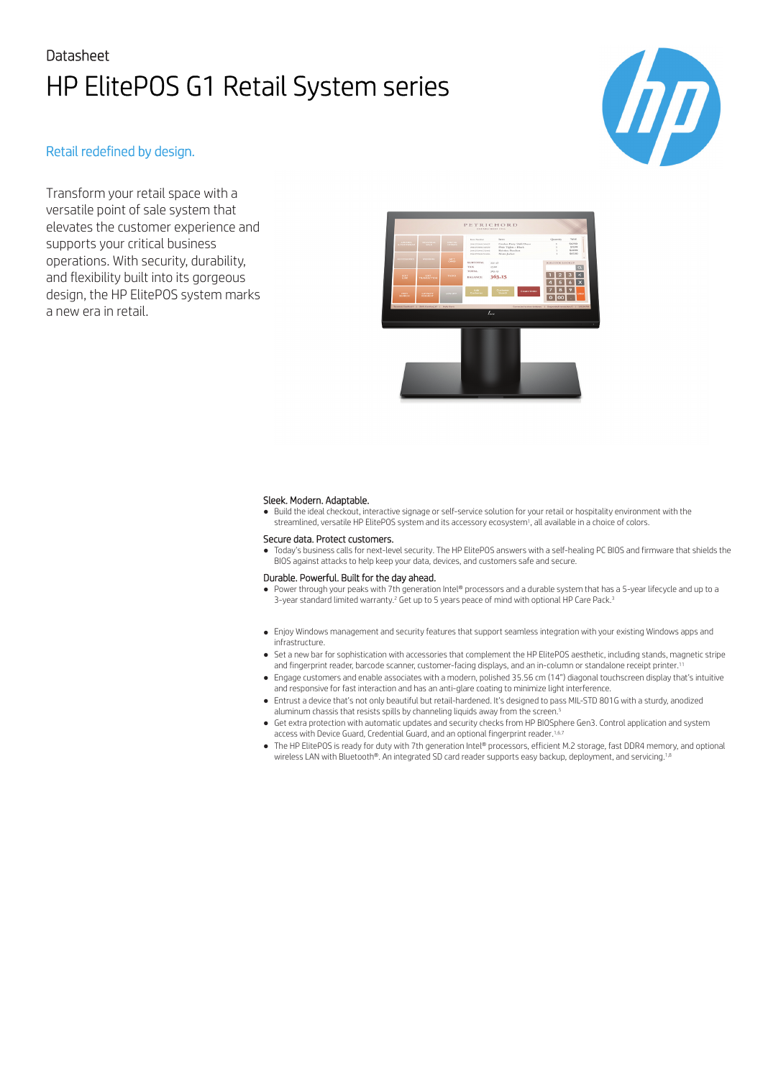# Datasheet HP ElitePOS G1 Retail System series



### Retail redefined by design.

Transform your retail space with a versatile point of sale system that elevates the customer experience and supports your critical business operations. With security, durability, and flexibility built into its gorgeous design, the HP ElitePOS system marks a new era in retail.



#### Sleek. Modern. Adaptable.

● Build the ideal checkout, interactive signage or self-service solution for your retail or hospitality environment with the streamlined, versatile HP ElitePOS system and its accessory ecosystem1, all available in a choice of colors.

#### Secure data. Protect customers.

● Today's business calls for next-level security. The HP ElitePOS answers with a self-healing PC BIOS and firmware that shields the BIOS against attacks to help keep your data, devices, and customers safe and secure.

#### Durable. Powerful. Built for the day ahead.

- Power through your peaks with 7th generation Intel® processors and a durable system that has a 5-year lifecycle and up to a 3-year standard limited warranty.<sup>2</sup> Get up to 5 years peace of mind with optional HP Care Pack.<sup>3</sup>
- Enjoy Windows management and security features that support seamless integration with your existing Windows apps and infrastructure.
- Set a new bar for sophistication with accessories that complement the HP ElitePOS aesthetic, including stands, magnetic stripe and fingerprint reader, barcode scanner, customer-facing displays, and an in-column or standalone receipt printer.1
- Engage customers and enable associates with a modern, polished 35.56 cm (14") diagonal touchscreen display that's intuitive and responsive for fast interaction and has an anti-glare coating to minimize light interference.
- Entrust a device that's not only beautiful but retail-hardened. It's designed to pass MIL-STD 801G with a sturdy, anodized aluminum chassis that resists spills by channeling liquids away from the screen.<sup>5</sup>
- Get extra protection with automatic updates and security checks from HP BIOSphere Gen3. Control application and system access with Device Guard, Credential Guard, and an optional fingerprint reader.<sup>1,6</sup>
- The HP ElitePOS is ready for duty with 7th generation Intel® processors, efficient M.2 storage, fast DDR4 memory, and optional wireless LAN with Bluetooth®. An integrated SD card reader supports easy backup, deployment, and servicing.1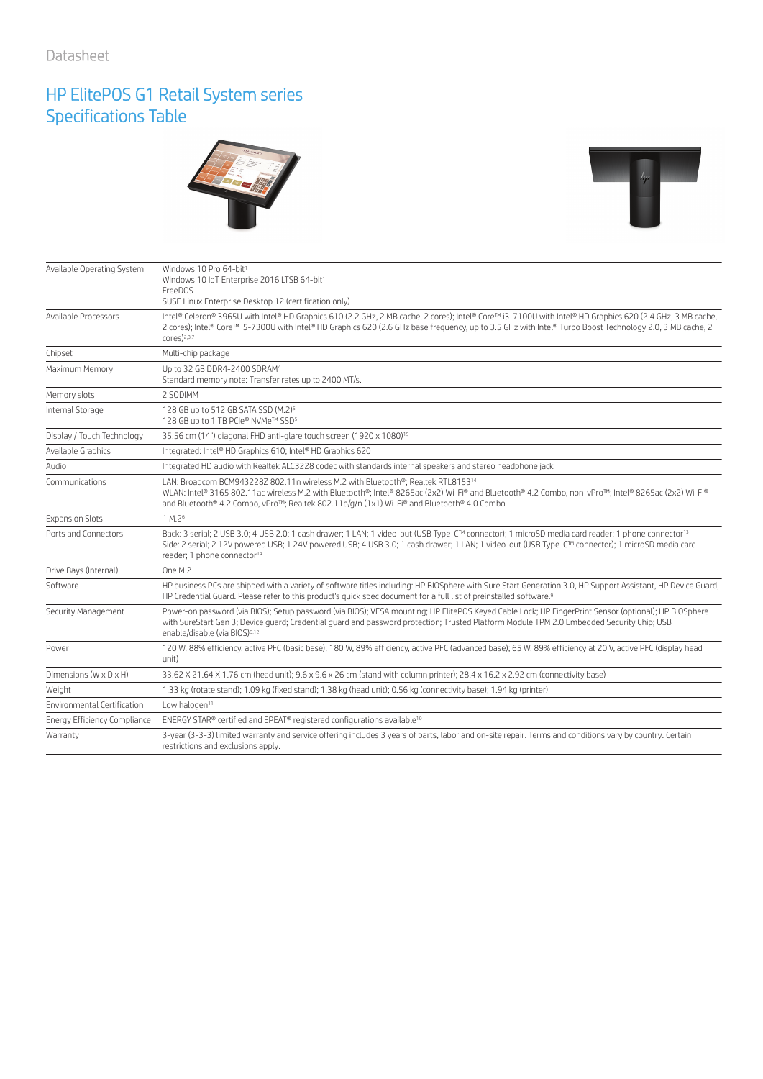### HP ElitePOS G1 Retail System series Specifications Table





| Available Operating System           | Windows 10 Pro 64-bit <sup>1</sup><br>Windows 10 IoT Enterprise 2016 LTSB 64-bit1<br>FreeDOS<br>SUSE Linux Enterprise Desktop 12 (certification only)                                                                                                                                                                                                        |
|--------------------------------------|--------------------------------------------------------------------------------------------------------------------------------------------------------------------------------------------------------------------------------------------------------------------------------------------------------------------------------------------------------------|
| Available Processors                 | Intel® Celeron® 3965U with Intel® HD Graphics 610 (2.2 GHz, 2 MB cache, 2 cores); Intel® Core™ i3-7100U with Intel® HD Graphics 620 (2.4 GHz, 3 MB cache,<br>2 cores); Intel® Core™ i5-7300U with Intel® HD Graphics 620 (2.6 GHz base frequency, up to 3.5 GHz with Intel® Turbo Boost Technology 2.0, 3 MB cache, 2<br>$cores)^{2,3,7}$                    |
| Chipset                              | Multi-chip package                                                                                                                                                                                                                                                                                                                                           |
| Maximum Memory                       | Up to 32 GB DDR4-2400 SDRAM <sup>4</sup><br>Standard memory note: Transfer rates up to 2400 MT/s.                                                                                                                                                                                                                                                            |
| Memory slots                         | 2 SODIMM                                                                                                                                                                                                                                                                                                                                                     |
| Internal Storage                     | 128 GB up to 512 GB SATA SSD (M.2) <sup>5</sup><br>128 GB up to 1 TB PCIe® NVMe™ SSD <sup>5</sup>                                                                                                                                                                                                                                                            |
| Display / Touch Technology           | 35.56 cm (14") diagonal FHD anti-glare touch screen (1920 x 1080) <sup>15</sup>                                                                                                                                                                                                                                                                              |
| Available Graphics                   | Integrated: Intel® HD Graphics 610; Intel® HD Graphics 620                                                                                                                                                                                                                                                                                                   |
| Audio                                | Integrated HD audio with Realtek ALC3228 codec with standards internal speakers and stereo headphone jack                                                                                                                                                                                                                                                    |
| Communications                       | LAN: Broadcom BCM943228Z 802.11n wireless M.2 with Bluetooth®; Realtek RTL815314<br>WLAN: Intel® 3165 802.11ac wireless M.2 with Bluetooth®; Intel® 8265ac (2x2) Wi-Fi® and Bluetooth® 4.2 Combo, non-vPro™; Intel® 8265ac (2x2) Wi-Fi®<br>and Bluetooth® 4.2 Combo, vPro™; Realtek 802.11b/g/n (1x1) Wi-Fi® and Bluetooth® 4.0 Combo                        |
| <b>Expansion Slots</b>               | 1 M.2 <sup>6</sup>                                                                                                                                                                                                                                                                                                                                           |
| Ports and Connectors                 | Back: 3 serial; 2 USB 3.0; 4 USB 2.0; 1 cash drawer; 1 LAN; 1 video-out (USB Type-C™ connector); 1 microSD media card reader; 1 phone connector <sup>13</sup><br>Side: 2 serial; 2 12V powered USB; 1 24V powered USB; 4 USB 3.0; 1 cash drawer; 1 LAN; 1 video-out (USB Type-C™ connector); 1 microSD media card<br>reader; 1 phone connector <sup>14</sup> |
| Drive Bays (Internal)                | One M.2                                                                                                                                                                                                                                                                                                                                                      |
| Software                             | HP business PCs are shipped with a variety of software titles including: HP BIOSphere with Sure Start Generation 3.0, HP Support Assistant, HP Device Guard,<br>HP Credential Guard. Please refer to this product's quick spec document for a full list of preinstalled software. <sup>9</sup>                                                               |
| Security Management                  | Power-on password (via BIOS); Setup password (via BIOS); VESA mounting; HP ElitePOS Keyed Cable Lock; HP FingerPrint Sensor (optional); HP BIOSphere<br>with SureStart Gen 3; Device quard; Credential quard and password protection; Trusted Platform Module TPM 2.0 Embedded Security Chip; USB<br>enable/disable (via BIOS)9,12                           |
| Power                                | 120 W, 88% efficiency, active PFC (basic base); 180 W, 89% efficiency, active PFC (advanced base); 65 W, 89% efficiency at 20 V, active PFC (display head<br>unit)                                                                                                                                                                                           |
| Dimensions ( $W \times D \times H$ ) | 33.62 X 21.64 X 1.76 cm (head unit); 9.6 x 9.6 x 26 cm (stand with column printer); 28.4 x 16.2 x 2.92 cm (connectivity base)                                                                                                                                                                                                                                |
| Weight                               | 1.33 kg (rotate stand); 1.09 kg (fixed stand); 1.38 kg (head unit); 0.56 kg (connectivity base); 1.94 kg (printer)                                                                                                                                                                                                                                           |
| Environmental Certification          | Low halogen <sup>11</sup>                                                                                                                                                                                                                                                                                                                                    |
| Energy Efficiency Compliance         | ENERGY STAR® certified and EPEAT® registered configurations available <sup>10</sup>                                                                                                                                                                                                                                                                          |
| Warranty                             | 3-year (3-3-3) limited warranty and service offering includes 3 years of parts, labor and on-site repair. Terms and conditions vary by country. Certain<br>restrictions and exclusions apply.                                                                                                                                                                |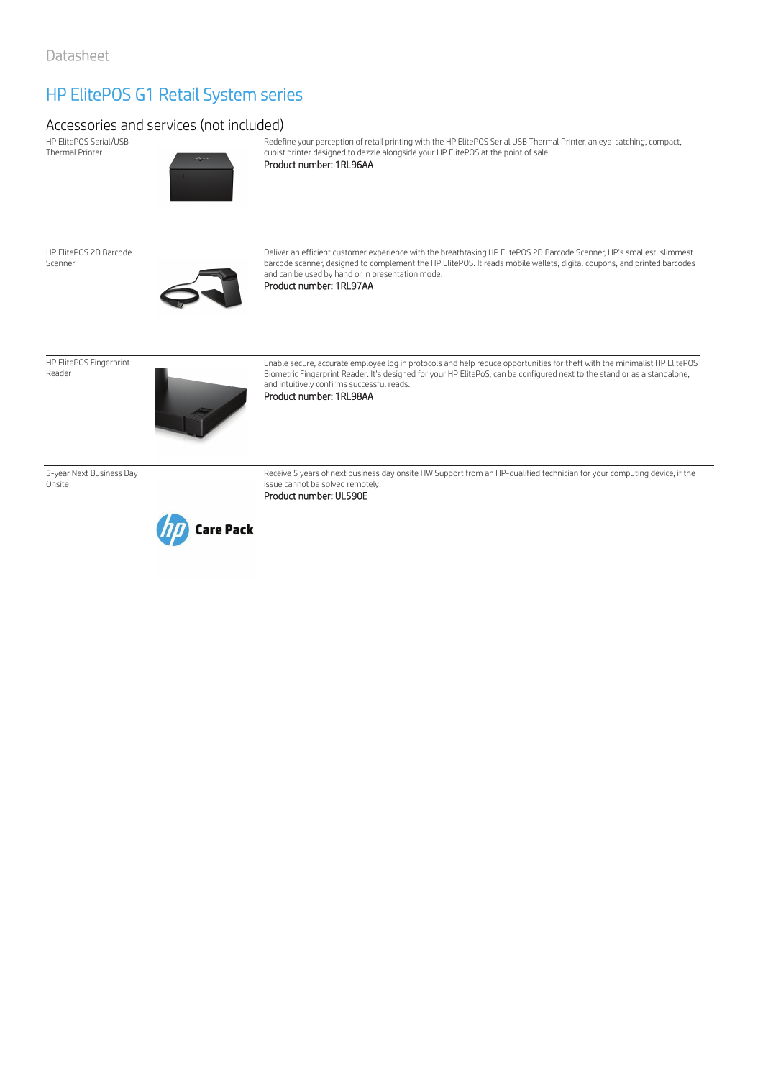## HP ElitePOS G1 Retail System series

### Accessories and services (not included)

HP ElitePOS Serial/USB Thermal Printer



Redefine your perception of retail printing with the HP ElitePOS Serial USB Thermal Printer, an eye-catching, compact, cubist printer designed to dazzle alongside your HP ElitePOS at the point of sale. Product number: 1RL96AA

HP ElitePOS 2D Barcode Scanner



Deliver an efficient customer experience with the breathtaking HP ElitePOS 2D Barcode Scanner, HP's smallest, slimmest barcode scanner, designed to complement the HP ElitePOS. It reads mobile wallets, digital coupons, and printed barcodes and can be used by hand or in presentation mode. Product number: 1RL97AA

HP ElitePOS Fingerprint Reader



Enable secure, accurate employee log in protocols and help reduce opportunities for theft with the minimalist HP ElitePOS Biometric Fingerprint Reader. It's designed for your HP ElitePoS, can be configured next to the stand or as a standalone, and intuitively confirms successful reads. Product number: 1RL98AA

5-year Next Business Day **Onsite** 



Receive 5 years of next business day onsite HW Support from an HP-qualified technician for your computing device, if the issue cannot be solved remotely. Product number: UL590E